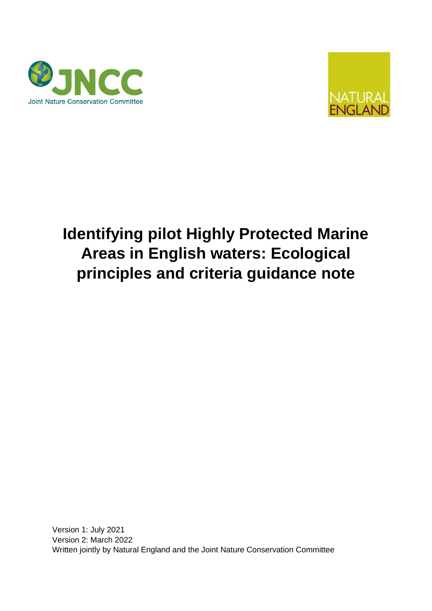



# **Identifying pilot Highly Protected Marine Areas in English waters: Ecological principles and criteria guidance note**

Version 1: July 2021 Version 2: March 2022 Written jointly by Natural England and the Joint Nature Conservation Committee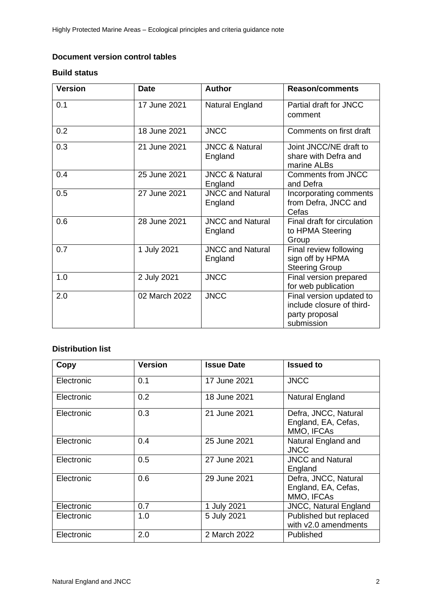#### **Document version control tables**

#### **Build status**

| <b>Version</b> | <b>Date</b>   | <b>Author</b>                        | <b>Reason/comments</b>                                                                |
|----------------|---------------|--------------------------------------|---------------------------------------------------------------------------------------|
| 0.1            | 17 June 2021  | Natural England                      | Partial draft for JNCC<br>comment                                                     |
| 0.2            | 18 June 2021  | <b>JNCC</b>                          | Comments on first draft                                                               |
| 0.3            | 21 June 2021  | <b>JNCC &amp; Natural</b><br>England | Joint JNCC/NE draft to<br>share with Defra and<br>marine ALBs                         |
| 0.4            | 25 June 2021  | <b>JNCC &amp; Natural</b><br>England | Comments from JNCC<br>and Defra                                                       |
| 0.5            | 27 June 2021  | <b>JNCC and Natural</b><br>England   | Incorporating comments<br>from Defra, JNCC and<br>Cefas                               |
| 0.6            | 28 June 2021  | <b>JNCC and Natural</b><br>England   | Final draft for circulation<br>to HPMA Steering<br>Group                              |
| 0.7            | 1 July 2021   | <b>JNCC and Natural</b><br>England   | Final review following<br>sign off by HPMA<br><b>Steering Group</b>                   |
| 1.0            | 2 July 2021   | <b>JNCC</b>                          | Final version prepared<br>for web publication                                         |
| 2.0            | 02 March 2022 | <b>JNCC</b>                          | Final version updated to<br>include closure of third-<br>party proposal<br>submission |

#### **Distribution list**

| Copy              | <b>Version</b> | <b>Issue Date</b> | <b>Issued to</b>                                          |
|-------------------|----------------|-------------------|-----------------------------------------------------------|
| Electronic        | 0.1            | 17 June 2021      | <b>JNCC</b>                                               |
| Electronic        | 0.2            | 18 June 2021      | Natural England                                           |
| <b>Electronic</b> | 0.3            | 21 June 2021      | Defra, JNCC, Natural<br>England, EA, Cefas,<br>MMO, IFCAs |
| Electronic        | 0.4            | 25 June 2021      | Natural England and<br><b>JNCC</b>                        |
| Electronic        | 0.5            | 27 June 2021      | <b>JNCC and Natural</b><br>England                        |
| Electronic        | 0.6            | 29 June 2021      | Defra, JNCC, Natural<br>England, EA, Cefas,<br>MMO, IFCAS |
| Electronic        | 0.7            | 1 July 2021       | <b>JNCC, Natural England</b>                              |
| Electronic        | 1.0            | 5 July 2021       | Published but replaced<br>with v2.0 amendments            |
| Electronic        | 2.0            | 2 March 2022      | Published                                                 |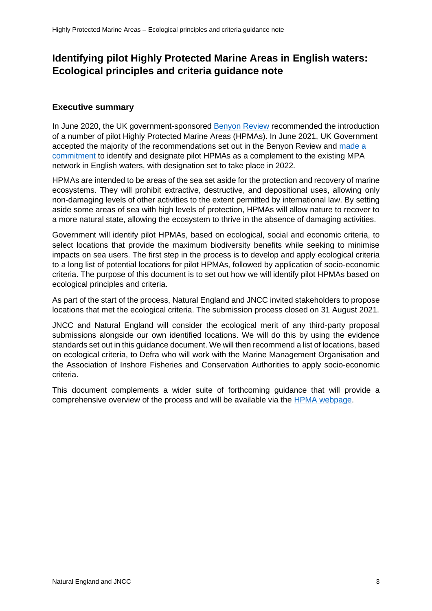# **Identifying pilot Highly Protected Marine Areas in English waters: Ecological principles and criteria guidance note**

#### **Executive summary**

In June 2020, the UK government-sponsored [Benyon Review](https://www.gov.uk/government/publications/highly-protected-marine-areas-hpmas-review-2019) recommended the introduction of a number of pilot Highly Protected Marine Areas (HPMAs). In June 2021, UK Government accepted the majority of the recommendations set out in the Benyon Review and [made a](https://questions-statements.parliament.uk/written-statements/detail/2021-06-08/hcws71)  [commitment](https://questions-statements.parliament.uk/written-statements/detail/2021-06-08/hcws71) to identify and designate pilot HPMAs as a complement to the existing MPA network in English waters, with designation set to take place in 2022.

HPMAs are intended to be areas of the sea set aside for the protection and recovery of marine ecosystems. They will prohibit extractive, destructive, and depositional uses, allowing only non-damaging levels of other activities to the extent permitted by international law. By setting aside some areas of sea with high levels of protection, HPMAs will allow nature to recover to a more natural state, allowing the ecosystem to thrive in the absence of damaging activities.

Government will identify pilot HPMAs, based on ecological, social and economic criteria, to select locations that provide the maximum biodiversity benefits while seeking to minimise impacts on sea users. The first step in the process is to develop and apply ecological criteria to a long list of potential locations for pilot HPMAs, followed by application of socio-economic criteria. The purpose of this document is to set out how we will identify pilot HPMAs based on ecological principles and criteria.

As part of the start of the process, Natural England and JNCC invited stakeholders to propose locations that met the ecological criteria. The submission process closed on 31 August 2021.

JNCC and Natural England will consider the ecological merit of any third-party proposal submissions alongside our own identified locations. We will do this by using the evidence standards set out in this guidance document. We will then recommend a list of locations, based on ecological criteria, to Defra who will work with the Marine Management Organisation and the Association of Inshore Fisheries and Conservation Authorities to apply socio-economic criteria.

This document complements a wider suite of forthcoming guidance that will provide a comprehensive overview of the process and will be available via the [HPMA webpage.](http://www.jncc.gov.uk/hpmas)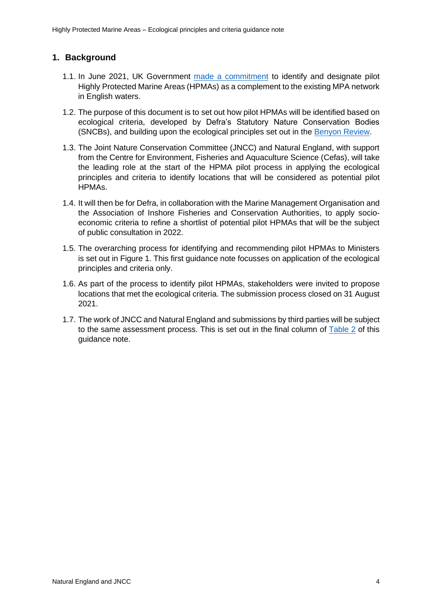### **1. Background**

- 1.1. In June 2021, UK Government [made a commitment](https://questions-statements.parliament.uk/written-statements/detail/2021-06-08/hcws71) to identify and designate pilot Highly Protected Marine Areas (HPMAs) as a complement to the existing MPA network in English waters.
- 1.2. The purpose of this document is to set out how pilot HPMAs will be identified based on ecological criteria, developed by Defra's Statutory Nature Conservation Bodies (SNCBs), and building upon the ecological principles set out in the [Benyon Review.](https://www.gov.uk/government/publications/highly-protected-marine-areas-hpmas-review-2019/benyon-review-into-highly-protected-marine-areas-final-report-executive-summary)
- 1.3. The Joint Nature Conservation Committee (JNCC) and Natural England, with support from the Centre for Environment, Fisheries and Aquaculture Science (Cefas), will take the leading role at the start of the HPMA pilot process in applying the ecological principles and criteria to identify locations that will be considered as potential pilot HPMAs.
- 1.4. It will then be for Defra, in collaboration with the Marine Management Organisation and the Association of Inshore Fisheries and Conservation Authorities, to apply socioeconomic criteria to refine a shortlist of potential pilot HPMAs that will be the subject of public consultation in 2022.
- 1.5. The overarching process for identifying and recommending pilot HPMAs to Ministers is set out in Figure 1. This first guidance note focusses on application of the ecological principles and criteria only.
- 1.6. As part of the process to identify pilot HPMAs, stakeholders were invited to propose locations that met the ecological criteria. The submission process closed on 31 August 2021.
- 1.7. The work of JNCC and Natural England and submissions by third parties will be subject to the same assessment process. This is set out in the final column of [Table 2](#page-7-0) of this guidance note.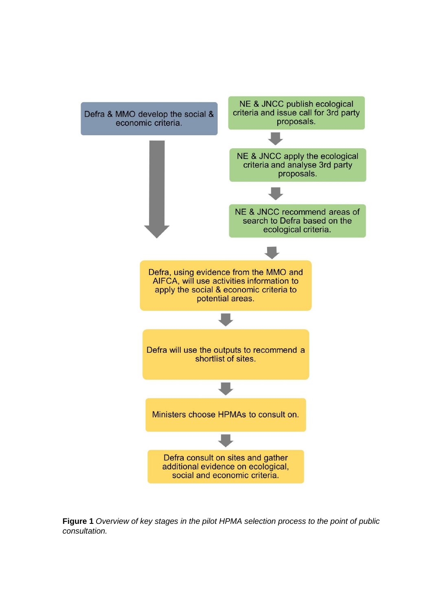

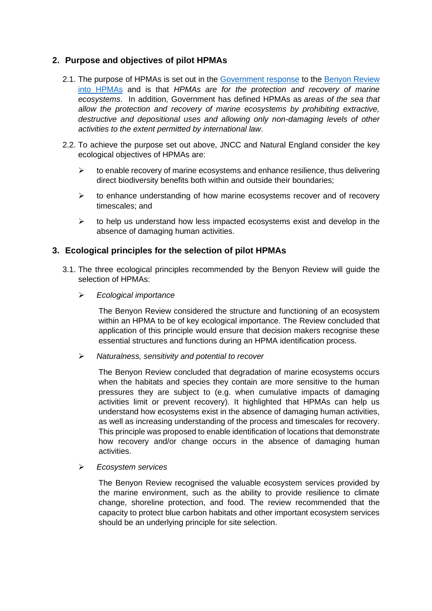#### **2. Purpose and objectives of pilot HPMAs**

- 2.1. The purpose of HPMAs is set out in the [Government response](https://www.gov.uk/government/publications/government-response-to-the-highly-protected-marine-areas-hpmas-review/government-response-to-the-highly-protected-marine-areas-hpmas-review) to the [Benyon Review](https://assets.publishing.service.gov.uk/government/uploads/system/uploads/attachment_data/file/890484/hpma-review-final-report.pdf)  [into HPMAs](https://assets.publishing.service.gov.uk/government/uploads/system/uploads/attachment_data/file/890484/hpma-review-final-report.pdf) and is that *HPMAs are for the protection and recovery of marine ecosystems*. In addition, Government has defined HPMAs as *areas of the sea that allow the protection and recovery of marine ecosystems by prohibiting extractive, destructive and depositional uses and allowing only non-damaging levels of other activities to the extent permitted by international law*.
- 2.2. To achieve the purpose set out above, JNCC and Natural England consider the key ecological objectives of HPMAs are:
	- $\triangleright$  to enable recovery of marine ecosystems and enhance resilience, thus delivering direct biodiversity benefits both within and outside their boundaries;
	- $\geq$  to enhance understanding of how marine ecosystems recover and of recovery timescales; and
	- $\triangleright$  to help us understand how less impacted ecosystems exist and develop in the absence of damaging human activities.

#### **3. Ecological principles for the selection of pilot HPMAs**

- 3.1. The three ecological principles recommended by the Benyon Review will guide the selection of HPMAs:
	- ➢ *Ecological importance*

The Benyon Review considered the structure and functioning of an ecosystem within an HPMA to be of key ecological importance. The Review concluded that application of this principle would ensure that decision makers recognise these essential structures and functions during an HPMA identification process.

➢ *Naturalness, sensitivity and potential to recover*

The Benyon Review concluded that degradation of marine ecosystems occurs when the habitats and species they contain are more sensitive to the human pressures they are subject to (e.g. when cumulative impacts of damaging activities limit or prevent recovery). It highlighted that HPMAs can help us understand how ecosystems exist in the absence of damaging human activities, as well as increasing understanding of the process and timescales for recovery. This principle was proposed to enable identification of locations that demonstrate how recovery and/or change occurs in the absence of damaging human activities.

➢ *Ecosystem services*

The Benyon Review recognised the valuable ecosystem services provided by the marine environment, such as the ability to provide resilience to climate change, shoreline protection, and food. The review recommended that the capacity to protect blue carbon habitats and other important ecosystem services should be an underlying principle for site selection.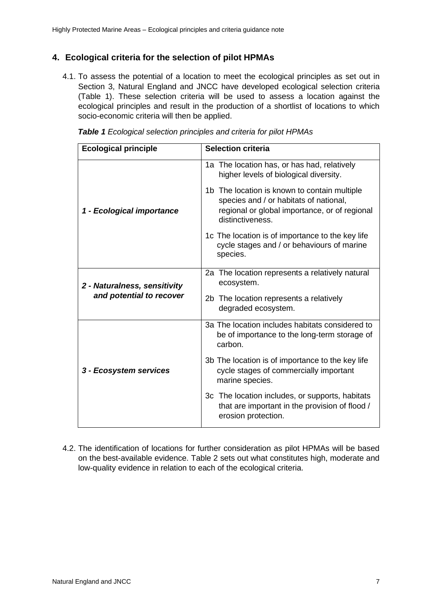# **4. Ecological criteria for the selection of pilot HPMAs**

4.1. To assess the potential of a location to meet the ecological principles as set out in Section 3, Natural England and JNCC have developed ecological selection criteria (Table 1). These selection criteria will be used to assess a location against the ecological principles and result in the production of a shortlist of locations to which socio-economic criteria will then be applied.

| <b>Ecological principle</b>  | <b>Selection criteria</b>                                                                                                                                   |
|------------------------------|-------------------------------------------------------------------------------------------------------------------------------------------------------------|
|                              | 1a The location has, or has had, relatively<br>higher levels of biological diversity.                                                                       |
| 1 - Ecological importance    | 1b The location is known to contain multiple<br>species and / or habitats of national,<br>regional or global importance, or of regional<br>distinctiveness. |
|                              | 1c The location is of importance to the key life<br>cycle stages and / or behaviours of marine<br>species.                                                  |
| 2 - Naturalness, sensitivity | 2a The location represents a relatively natural<br>ecosystem.                                                                                               |
| and potential to recover     | 2b The location represents a relatively<br>degraded ecosystem.                                                                                              |
|                              | 3a The location includes habitats considered to<br>be of importance to the long-term storage of<br>carbon.                                                  |
| 3 - Ecosystem services       | 3b The location is of importance to the key life<br>cycle stages of commercially important<br>marine species.                                               |
|                              | 3c The location includes, or supports, habitats<br>that are important in the provision of flood /<br>erosion protection.                                    |

|  | Table 1 Ecological selection principles and criteria for pilot HPMAs |  |  |  |  |
|--|----------------------------------------------------------------------|--|--|--|--|
|  |                                                                      |  |  |  |  |

4.2. The identification of locations for further consideration as pilot HPMAs will be based on the best-available evidence. Table 2 sets out what constitutes high, moderate and low-quality evidence in relation to each of the ecological criteria.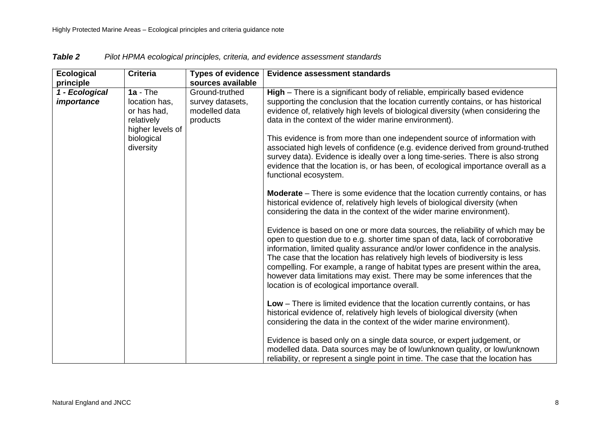<span id="page-7-0"></span>

| <b>Ecological</b>                                                            | <b>Criteria</b>                                                | <b>Types of evidence</b>                                        | <b>Evidence assessment standards</b>                                                                                                                                                                                                                                                                                                                                                                                                                                                                                                                |
|------------------------------------------------------------------------------|----------------------------------------------------------------|-----------------------------------------------------------------|-----------------------------------------------------------------------------------------------------------------------------------------------------------------------------------------------------------------------------------------------------------------------------------------------------------------------------------------------------------------------------------------------------------------------------------------------------------------------------------------------------------------------------------------------------|
| principle                                                                    |                                                                | sources available                                               |                                                                                                                                                                                                                                                                                                                                                                                                                                                                                                                                                     |
| 1 - Ecological<br><i>importance</i><br>relatively<br>biological<br>diversity | $1a - The$<br>location has,<br>or has had,<br>higher levels of | Ground-truthed<br>survey datasets,<br>modelled data<br>products | High - There is a significant body of reliable, empirically based evidence<br>supporting the conclusion that the location currently contains, or has historical<br>evidence of, relatively high levels of biological diversity (when considering the<br>data in the context of the wider marine environment).                                                                                                                                                                                                                                       |
|                                                                              |                                                                |                                                                 | This evidence is from more than one independent source of information with<br>associated high levels of confidence (e.g. evidence derived from ground-truthed<br>survey data). Evidence is ideally over a long time-series. There is also strong<br>evidence that the location is, or has been, of ecological importance overall as a<br>functional ecosystem.                                                                                                                                                                                      |
|                                                                              |                                                                |                                                                 | <b>Moderate</b> – There is some evidence that the location currently contains, or has<br>historical evidence of, relatively high levels of biological diversity (when<br>considering the data in the context of the wider marine environment).                                                                                                                                                                                                                                                                                                      |
|                                                                              |                                                                |                                                                 | Evidence is based on one or more data sources, the reliability of which may be<br>open to question due to e.g. shorter time span of data, lack of corroborative<br>information, limited quality assurance and/or lower confidence in the analysis.<br>The case that the location has relatively high levels of biodiversity is less<br>compelling. For example, a range of habitat types are present within the area,<br>however data limitations may exist. There may be some inferences that the<br>location is of ecological importance overall. |
|                                                                              |                                                                |                                                                 | Low - There is limited evidence that the location currently contains, or has<br>historical evidence of, relatively high levels of biological diversity (when<br>considering the data in the context of the wider marine environment).                                                                                                                                                                                                                                                                                                               |
|                                                                              |                                                                |                                                                 | Evidence is based only on a single data source, or expert judgement, or<br>modelled data. Data sources may be of low/unknown quality, or low/unknown<br>reliability, or represent a single point in time. The case that the location has                                                                                                                                                                                                                                                                                                            |

*Table 2 Pilot HPMA ecological principles, criteria, and evidence assessment standards*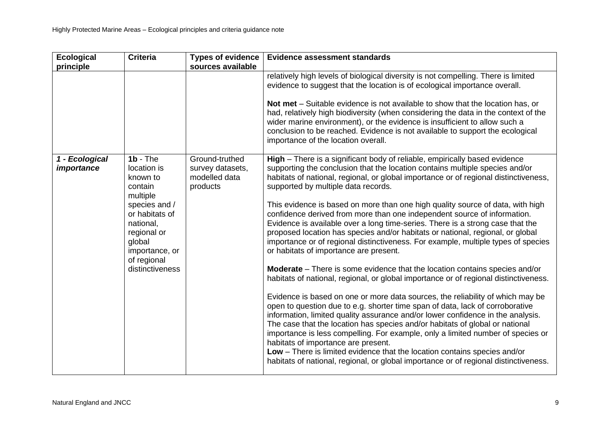| <b>Ecological</b><br>principle | <b>Criteria</b>                                                                                                                                                                           | <b>Types of evidence</b><br>sources available                   | <b>Evidence assessment standards</b>                                                                                                                                                                                                                                                                                                                                                                                                                                                                                                                                                                                                                                                                                                                                                                                                                                                                                                                                                                                                                                                                                                                                                                                                                                                                                                                                                                                                                                                                                                                                          |
|--------------------------------|-------------------------------------------------------------------------------------------------------------------------------------------------------------------------------------------|-----------------------------------------------------------------|-------------------------------------------------------------------------------------------------------------------------------------------------------------------------------------------------------------------------------------------------------------------------------------------------------------------------------------------------------------------------------------------------------------------------------------------------------------------------------------------------------------------------------------------------------------------------------------------------------------------------------------------------------------------------------------------------------------------------------------------------------------------------------------------------------------------------------------------------------------------------------------------------------------------------------------------------------------------------------------------------------------------------------------------------------------------------------------------------------------------------------------------------------------------------------------------------------------------------------------------------------------------------------------------------------------------------------------------------------------------------------------------------------------------------------------------------------------------------------------------------------------------------------------------------------------------------------|
|                                |                                                                                                                                                                                           |                                                                 | relatively high levels of biological diversity is not compelling. There is limited<br>evidence to suggest that the location is of ecological importance overall.<br>Not met - Suitable evidence is not available to show that the location has, or<br>had, relatively high biodiversity (when considering the data in the context of the<br>wider marine environment), or the evidence is insufficient to allow such a<br>conclusion to be reached. Evidence is not available to support the ecological<br>importance of the location overall.                                                                                                                                                                                                                                                                                                                                                                                                                                                                                                                                                                                                                                                                                                                                                                                                                                                                                                                                                                                                                                |
| 1 - Ecological<br>importance   | $1b - The$<br>location is<br>known to<br>contain<br>multiple<br>species and /<br>or habitats of<br>national,<br>regional or<br>global<br>importance, or<br>of regional<br>distinctiveness | Ground-truthed<br>survey datasets,<br>modelled data<br>products | High - There is a significant body of reliable, empirically based evidence<br>supporting the conclusion that the location contains multiple species and/or<br>habitats of national, regional, or global importance or of regional distinctiveness,<br>supported by multiple data records.<br>This evidence is based on more than one high quality source of data, with high<br>confidence derived from more than one independent source of information.<br>Evidence is available over a long time-series. There is a strong case that the<br>proposed location has species and/or habitats or national, regional, or global<br>importance or of regional distinctiveness. For example, multiple types of species<br>or habitats of importance are present.<br><b>Moderate</b> – There is some evidence that the location contains species and/or<br>habitats of national, regional, or global importance or of regional distinctiveness.<br>Evidence is based on one or more data sources, the reliability of which may be<br>open to question due to e.g. shorter time span of data, lack of corroborative<br>information, limited quality assurance and/or lower confidence in the analysis.<br>The case that the location has species and/or habitats of global or national<br>importance is less compelling. For example, only a limited number of species or<br>habitats of importance are present.<br>Low - There is limited evidence that the location contains species and/or<br>habitats of national, regional, or global importance or of regional distinctiveness. |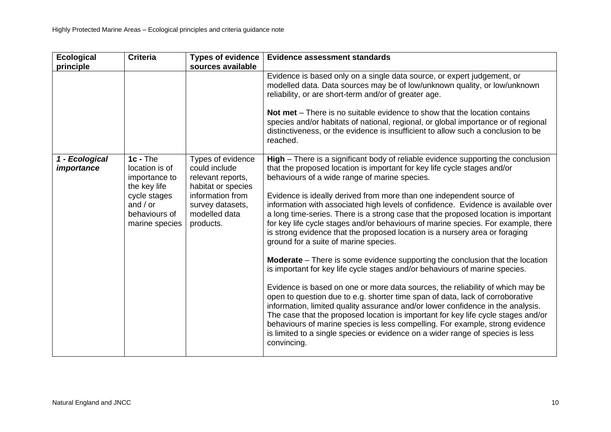| <b>Ecological</b><br>principle | <b>Criteria</b>                                               | <b>Types of evidence</b><br>sources available                                 | <b>Evidence assessment standards</b>                                                                                                                                                                                                                                                                                                                                                                                                                                                                                      |
|--------------------------------|---------------------------------------------------------------|-------------------------------------------------------------------------------|---------------------------------------------------------------------------------------------------------------------------------------------------------------------------------------------------------------------------------------------------------------------------------------------------------------------------------------------------------------------------------------------------------------------------------------------------------------------------------------------------------------------------|
|                                |                                                               |                                                                               | Evidence is based only on a single data source, or expert judgement, or<br>modelled data. Data sources may be of low/unknown quality, or low/unknown<br>reliability, or are short-term and/or of greater age.                                                                                                                                                                                                                                                                                                             |
|                                |                                                               |                                                                               | Not met – There is no suitable evidence to show that the location contains<br>species and/or habitats of national, regional, or global importance or of regional<br>distinctiveness, or the evidence is insufficient to allow such a conclusion to be<br>reached.                                                                                                                                                                                                                                                         |
| 1 - Ecological<br>importance   | $1c - The$<br>location is of<br>importance to<br>the key life | Types of evidence<br>could include<br>relevant reports,<br>habitat or species | High - There is a significant body of reliable evidence supporting the conclusion<br>that the proposed location is important for key life cycle stages and/or<br>behaviours of a wide range of marine species.                                                                                                                                                                                                                                                                                                            |
|                                | cycle stages<br>and $/$ or<br>behaviours of<br>marine species | information from<br>survey datasets,<br>modelled data<br>products.            | Evidence is ideally derived from more than one independent source of<br>information with associated high levels of confidence. Evidence is available over<br>a long time-series. There is a strong case that the proposed location is important<br>for key life cycle stages and/or behaviours of marine species. For example, there<br>is strong evidence that the proposed location is a nursery area or foraging<br>ground for a suite of marine species.                                                              |
|                                |                                                               |                                                                               | <b>Moderate</b> – There is some evidence supporting the conclusion that the location<br>is important for key life cycle stages and/or behaviours of marine species.                                                                                                                                                                                                                                                                                                                                                       |
|                                |                                                               |                                                                               | Evidence is based on one or more data sources, the reliability of which may be<br>open to question due to e.g. shorter time span of data, lack of corroborative<br>information, limited quality assurance and/or lower confidence in the analysis.<br>The case that the proposed location is important for key life cycle stages and/or<br>behaviours of marine species is less compelling. For example, strong evidence<br>is limited to a single species or evidence on a wider range of species is less<br>convincing. |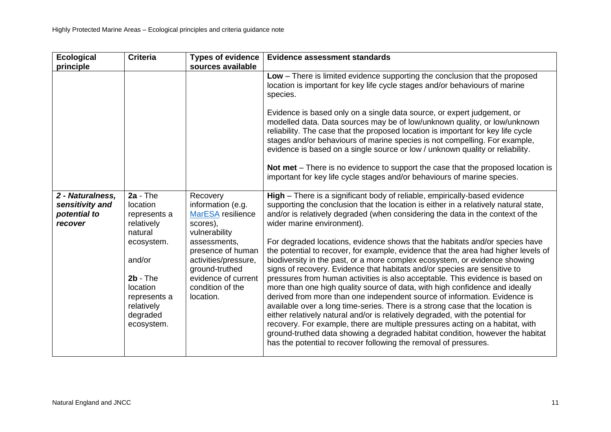| <b>Ecological</b><br>principle                                 | <b>Criteria</b>                                                                                        | <b>Types of evidence</b><br>sources available                                                                                       | <b>Evidence assessment standards</b>                                                                                                                                                                                                                                                                                                                                                                                                                                                                                                                                                                                                                                                                                                                                                                                                                                                                                                                                                  |
|----------------------------------------------------------------|--------------------------------------------------------------------------------------------------------|-------------------------------------------------------------------------------------------------------------------------------------|---------------------------------------------------------------------------------------------------------------------------------------------------------------------------------------------------------------------------------------------------------------------------------------------------------------------------------------------------------------------------------------------------------------------------------------------------------------------------------------------------------------------------------------------------------------------------------------------------------------------------------------------------------------------------------------------------------------------------------------------------------------------------------------------------------------------------------------------------------------------------------------------------------------------------------------------------------------------------------------|
|                                                                |                                                                                                        |                                                                                                                                     | Low - There is limited evidence supporting the conclusion that the proposed<br>location is important for key life cycle stages and/or behaviours of marine<br>species.                                                                                                                                                                                                                                                                                                                                                                                                                                                                                                                                                                                                                                                                                                                                                                                                                |
|                                                                |                                                                                                        |                                                                                                                                     | Evidence is based only on a single data source, or expert judgement, or<br>modelled data. Data sources may be of low/unknown quality, or low/unknown<br>reliability. The case that the proposed location is important for key life cycle<br>stages and/or behaviours of marine species is not compelling. For example,<br>evidence is based on a single source or low / unknown quality or reliability.                                                                                                                                                                                                                                                                                                                                                                                                                                                                                                                                                                               |
|                                                                |                                                                                                        |                                                                                                                                     | Not met - There is no evidence to support the case that the proposed location is<br>important for key life cycle stages and/or behaviours of marine species.                                                                                                                                                                                                                                                                                                                                                                                                                                                                                                                                                                                                                                                                                                                                                                                                                          |
| 2 - Naturalness,<br>sensitivity and<br>potential to<br>recover | $2a - The$<br>location<br>represents a<br>relatively<br>natural                                        | Recovery<br>information (e.g.<br><b>MarESA</b> resilience<br>scores),<br>vulnerability                                              | High - There is a significant body of reliable, empirically-based evidence<br>supporting the conclusion that the location is either in a relatively natural state,<br>and/or is relatively degraded (when considering the data in the context of the<br>wider marine environment).                                                                                                                                                                                                                                                                                                                                                                                                                                                                                                                                                                                                                                                                                                    |
|                                                                | ecosystem.<br>and/or<br>$2b - The$<br>location<br>represents a<br>relatively<br>degraded<br>ecosystem. | assessments,<br>presence of human<br>activities/pressure,<br>ground-truthed<br>evidence of current<br>condition of the<br>location. | For degraded locations, evidence shows that the habitats and/or species have<br>the potential to recover, for example, evidence that the area had higher levels of<br>biodiversity in the past, or a more complex ecosystem, or evidence showing<br>signs of recovery. Evidence that habitats and/or species are sensitive to<br>pressures from human activities is also acceptable. This evidence is based on<br>more than one high quality source of data, with high confidence and ideally<br>derived from more than one independent source of information. Evidence is<br>available over a long time-series. There is a strong case that the location is<br>either relatively natural and/or is relatively degraded, with the potential for<br>recovery. For example, there are multiple pressures acting on a habitat, with<br>ground-truthed data showing a degraded habitat condition, however the habitat<br>has the potential to recover following the removal of pressures. |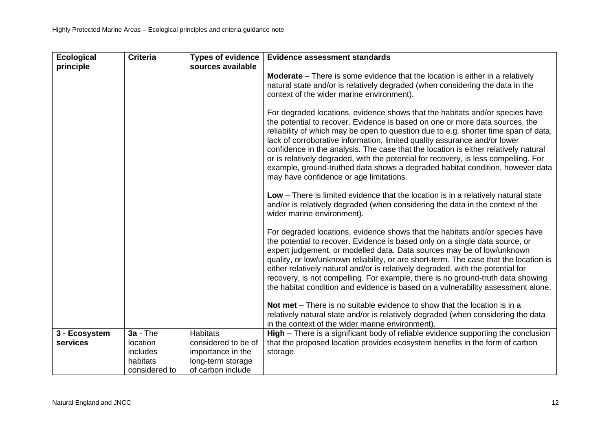| <b>Ecological</b> | <b>Criteria</b> | <b>Types of evidence</b> | <b>Evidence assessment standards</b>                                                                                                                                                                                                                                                                                                                                                                                                                                                                                                                                                                                                       |
|-------------------|-----------------|--------------------------|--------------------------------------------------------------------------------------------------------------------------------------------------------------------------------------------------------------------------------------------------------------------------------------------------------------------------------------------------------------------------------------------------------------------------------------------------------------------------------------------------------------------------------------------------------------------------------------------------------------------------------------------|
| principle         |                 | sources available        |                                                                                                                                                                                                                                                                                                                                                                                                                                                                                                                                                                                                                                            |
|                   |                 |                          | Moderate – There is some evidence that the location is either in a relatively<br>natural state and/or is relatively degraded (when considering the data in the<br>context of the wider marine environment).                                                                                                                                                                                                                                                                                                                                                                                                                                |
|                   |                 |                          | For degraded locations, evidence shows that the habitats and/or species have<br>the potential to recover. Evidence is based on one or more data sources, the<br>reliability of which may be open to question due to e.g. shorter time span of data,<br>lack of corroborative information, limited quality assurance and/or lower<br>confidence in the analysis. The case that the location is either relatively natural<br>or is relatively degraded, with the potential for recovery, is less compelling. For<br>example, ground-truthed data shows a degraded habitat condition, however data<br>may have confidence or age limitations. |
|                   |                 |                          | Low – There is limited evidence that the location is in a relatively natural state<br>and/or is relatively degraded (when considering the data in the context of the<br>wider marine environment).                                                                                                                                                                                                                                                                                                                                                                                                                                         |
|                   |                 |                          | For degraded locations, evidence shows that the habitats and/or species have<br>the potential to recover. Evidence is based only on a single data source, or<br>expert judgement, or modelled data. Data sources may be of low/unknown<br>quality, or low/unknown reliability, or are short-term. The case that the location is<br>either relatively natural and/or is relatively degraded, with the potential for<br>recovery, is not compelling. For example, there is no ground-truth data showing<br>the habitat condition and evidence is based on a vulnerability assessment alone.                                                  |
|                   |                 |                          | Not met – There is no suitable evidence to show that the location is in a<br>relatively natural state and/or is relatively degraded (when considering the data<br>in the context of the wider marine environment).                                                                                                                                                                                                                                                                                                                                                                                                                         |
| 3 - Ecosystem     | $3a - The$      | <b>Habitats</b>          | High – There is a significant body of reliable evidence supporting the conclusion                                                                                                                                                                                                                                                                                                                                                                                                                                                                                                                                                          |
| services          | location        | considered to be of      | that the proposed location provides ecosystem benefits in the form of carbon                                                                                                                                                                                                                                                                                                                                                                                                                                                                                                                                                               |
|                   | includes        | importance in the        | storage.                                                                                                                                                                                                                                                                                                                                                                                                                                                                                                                                                                                                                                   |
|                   | habitats        | long-term storage        |                                                                                                                                                                                                                                                                                                                                                                                                                                                                                                                                                                                                                                            |
|                   | considered to   | of carbon include        |                                                                                                                                                                                                                                                                                                                                                                                                                                                                                                                                                                                                                                            |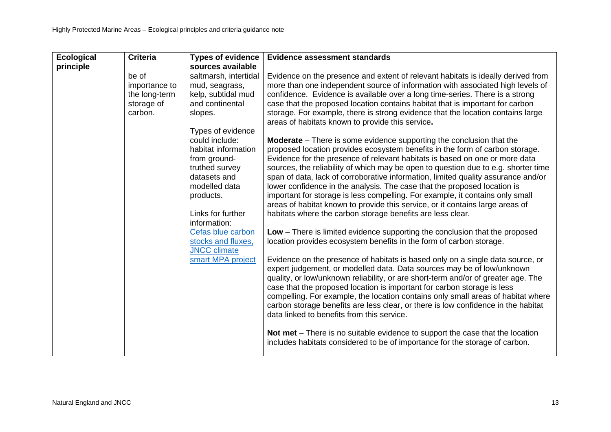| <b>Ecological</b> | <b>Criteria</b>                                                  | <b>Types of evidence</b>                                                                                                                   | <b>Evidence assessment standards</b>                                                                                                                                                                                                                                                                                                                                                                                                                                                                                                                                                                                                                                                                                              |
|-------------------|------------------------------------------------------------------|--------------------------------------------------------------------------------------------------------------------------------------------|-----------------------------------------------------------------------------------------------------------------------------------------------------------------------------------------------------------------------------------------------------------------------------------------------------------------------------------------------------------------------------------------------------------------------------------------------------------------------------------------------------------------------------------------------------------------------------------------------------------------------------------------------------------------------------------------------------------------------------------|
| principle         |                                                                  | sources available                                                                                                                          |                                                                                                                                                                                                                                                                                                                                                                                                                                                                                                                                                                                                                                                                                                                                   |
|                   | be of<br>importance to<br>the long-term<br>storage of<br>carbon. | saltmarsh, intertidal<br>mud, seagrass,<br>kelp, subtidal mud<br>and continental<br>slopes.<br>Types of evidence                           | Evidence on the presence and extent of relevant habitats is ideally derived from<br>more than one independent source of information with associated high levels of<br>confidence. Evidence is available over a long time-series. There is a strong<br>case that the proposed location contains habitat that is important for carbon<br>storage. For example, there is strong evidence that the location contains large<br>areas of habitats known to provide this service.                                                                                                                                                                                                                                                        |
|                   |                                                                  | could include:<br>habitat information<br>from ground-<br>truthed survey<br>datasets and<br>modelled data<br>products.<br>Links for further | <b>Moderate</b> – There is some evidence supporting the conclusion that the<br>proposed location provides ecosystem benefits in the form of carbon storage.<br>Evidence for the presence of relevant habitats is based on one or more data<br>sources, the reliability of which may be open to question due to e.g. shorter time<br>span of data, lack of corroborative information, limited quality assurance and/or<br>lower confidence in the analysis. The case that the proposed location is<br>important for storage is less compelling. For example, it contains only small<br>areas of habitat known to provide this service, or it contains large areas of<br>habitats where the carbon storage benefits are less clear. |
|                   |                                                                  | information:<br>Cefas blue carbon<br>stocks and fluxes,<br><b>JNCC</b> climate<br>smart MPA project                                        | Low - There is limited evidence supporting the conclusion that the proposed<br>location provides ecosystem benefits in the form of carbon storage.<br>Evidence on the presence of habitats is based only on a single data source, or<br>expert judgement, or modelled data. Data sources may be of low/unknown<br>quality, or low/unknown reliability, or are short-term and/or of greater age. The<br>case that the proposed location is important for carbon storage is less<br>compelling. For example, the location contains only small areas of habitat where<br>carbon storage benefits are less clear, or there is low confidence in the habitat<br>data linked to benefits from this service.                             |
|                   |                                                                  |                                                                                                                                            | Not met – There is no suitable evidence to support the case that the location<br>includes habitats considered to be of importance for the storage of carbon.                                                                                                                                                                                                                                                                                                                                                                                                                                                                                                                                                                      |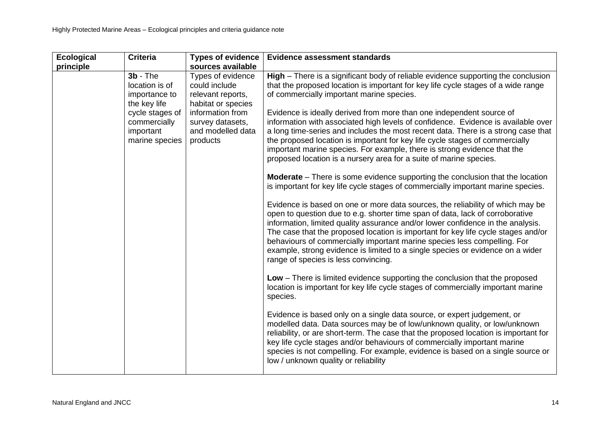| <b>Ecological</b> | <b>Criteria</b>                                                                                                                 | <b>Types of evidence</b>                                                                                                                                                    | <b>Evidence assessment standards</b>                                                                                                                                                                                                                                                                                                                                                                                                                                                                                                                                                                                                                                                                                                                                                                                                                                                                                                                                                                                                                                                                                                                                                                                                                                                                                                                                                                                                                                                                                                                                                                                                                                                                                                                                        |
|-------------------|---------------------------------------------------------------------------------------------------------------------------------|-----------------------------------------------------------------------------------------------------------------------------------------------------------------------------|-----------------------------------------------------------------------------------------------------------------------------------------------------------------------------------------------------------------------------------------------------------------------------------------------------------------------------------------------------------------------------------------------------------------------------------------------------------------------------------------------------------------------------------------------------------------------------------------------------------------------------------------------------------------------------------------------------------------------------------------------------------------------------------------------------------------------------------------------------------------------------------------------------------------------------------------------------------------------------------------------------------------------------------------------------------------------------------------------------------------------------------------------------------------------------------------------------------------------------------------------------------------------------------------------------------------------------------------------------------------------------------------------------------------------------------------------------------------------------------------------------------------------------------------------------------------------------------------------------------------------------------------------------------------------------------------------------------------------------------------------------------------------------|
|                   |                                                                                                                                 |                                                                                                                                                                             |                                                                                                                                                                                                                                                                                                                                                                                                                                                                                                                                                                                                                                                                                                                                                                                                                                                                                                                                                                                                                                                                                                                                                                                                                                                                                                                                                                                                                                                                                                                                                                                                                                                                                                                                                                             |
| principle         | $3b - The$<br>location is of<br>importance to<br>the key life<br>cycle stages of<br>commercially<br>important<br>marine species | sources available<br>Types of evidence<br>could include<br>relevant reports,<br>habitat or species<br>information from<br>survey datasets,<br>and modelled data<br>products | High – There is a significant body of reliable evidence supporting the conclusion<br>that the proposed location is important for key life cycle stages of a wide range<br>of commercially important marine species.<br>Evidence is ideally derived from more than one independent source of<br>information with associated high levels of confidence. Evidence is available over<br>a long time-series and includes the most recent data. There is a strong case that<br>the proposed location is important for key life cycle stages of commercially<br>important marine species. For example, there is strong evidence that the<br>proposed location is a nursery area for a suite of marine species.<br><b>Moderate</b> – There is some evidence supporting the conclusion that the location<br>is important for key life cycle stages of commercially important marine species.<br>Evidence is based on one or more data sources, the reliability of which may be<br>open to question due to e.g. shorter time span of data, lack of corroborative<br>information, limited quality assurance and/or lower confidence in the analysis.<br>The case that the proposed location is important for key life cycle stages and/or<br>behaviours of commercially important marine species less compelling. For<br>example, strong evidence is limited to a single species or evidence on a wider<br>range of species is less convincing.<br>Low - There is limited evidence supporting the conclusion that the proposed<br>location is important for key life cycle stages of commercially important marine<br>species.<br>Evidence is based only on a single data source, or expert judgement, or<br>modelled data. Data sources may be of low/unknown quality, or low/unknown |
|                   |                                                                                                                                 |                                                                                                                                                                             | reliability, or are short-term. The case that the proposed location is important for<br>key life cycle stages and/or behaviours of commercially important marine<br>species is not compelling. For example, evidence is based on a single source or<br>low / unknown quality or reliability                                                                                                                                                                                                                                                                                                                                                                                                                                                                                                                                                                                                                                                                                                                                                                                                                                                                                                                                                                                                                                                                                                                                                                                                                                                                                                                                                                                                                                                                                 |
|                   |                                                                                                                                 |                                                                                                                                                                             |                                                                                                                                                                                                                                                                                                                                                                                                                                                                                                                                                                                                                                                                                                                                                                                                                                                                                                                                                                                                                                                                                                                                                                                                                                                                                                                                                                                                                                                                                                                                                                                                                                                                                                                                                                             |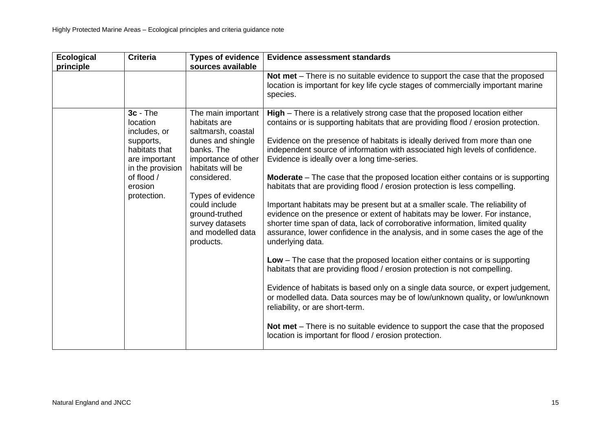| <b>Ecological</b><br>principle | <b>Criteria</b>                                                                                                                                   | <b>Types of evidence</b><br>sources available                                                                                                                                                                                                                      | <b>Evidence assessment standards</b>                                                                                                                                                                                                                                                                                                                                                                                                                                                                                                                                                                                                                                                                                                                                                                                                                                                                                                                                                                                                                                                                                                                                                                                                                                                                                                                                                                           |
|--------------------------------|---------------------------------------------------------------------------------------------------------------------------------------------------|--------------------------------------------------------------------------------------------------------------------------------------------------------------------------------------------------------------------------------------------------------------------|----------------------------------------------------------------------------------------------------------------------------------------------------------------------------------------------------------------------------------------------------------------------------------------------------------------------------------------------------------------------------------------------------------------------------------------------------------------------------------------------------------------------------------------------------------------------------------------------------------------------------------------------------------------------------------------------------------------------------------------------------------------------------------------------------------------------------------------------------------------------------------------------------------------------------------------------------------------------------------------------------------------------------------------------------------------------------------------------------------------------------------------------------------------------------------------------------------------------------------------------------------------------------------------------------------------------------------------------------------------------------------------------------------------|
|                                |                                                                                                                                                   |                                                                                                                                                                                                                                                                    | Not met - There is no suitable evidence to support the case that the proposed<br>location is important for key life cycle stages of commercially important marine<br>species.                                                                                                                                                                                                                                                                                                                                                                                                                                                                                                                                                                                                                                                                                                                                                                                                                                                                                                                                                                                                                                                                                                                                                                                                                                  |
|                                | $3c - The$<br>location<br>includes, or<br>supports,<br>habitats that<br>are important<br>in the provision<br>of flood /<br>erosion<br>protection. | The main important<br>habitats are<br>saltmarsh, coastal<br>dunes and shingle<br>banks. The<br>importance of other<br>habitats will be<br>considered.<br>Types of evidence<br>could include<br>ground-truthed<br>survey datasets<br>and modelled data<br>products. | High - There is a relatively strong case that the proposed location either<br>contains or is supporting habitats that are providing flood / erosion protection.<br>Evidence on the presence of habitats is ideally derived from more than one<br>independent source of information with associated high levels of confidence.<br>Evidence is ideally over a long time-series.<br>Moderate - The case that the proposed location either contains or is supporting<br>habitats that are providing flood / erosion protection is less compelling.<br>Important habitats may be present but at a smaller scale. The reliability of<br>evidence on the presence or extent of habitats may be lower. For instance,<br>shorter time span of data, lack of corroborative information, limited quality<br>assurance, lower confidence in the analysis, and in some cases the age of the<br>underlying data.<br>Low - The case that the proposed location either contains or is supporting<br>habitats that are providing flood / erosion protection is not compelling.<br>Evidence of habitats is based only on a single data source, or expert judgement,<br>or modelled data. Data sources may be of low/unknown quality, or low/unknown<br>reliability, or are short-term.<br>Not met – There is no suitable evidence to support the case that the proposed<br>location is important for flood / erosion protection. |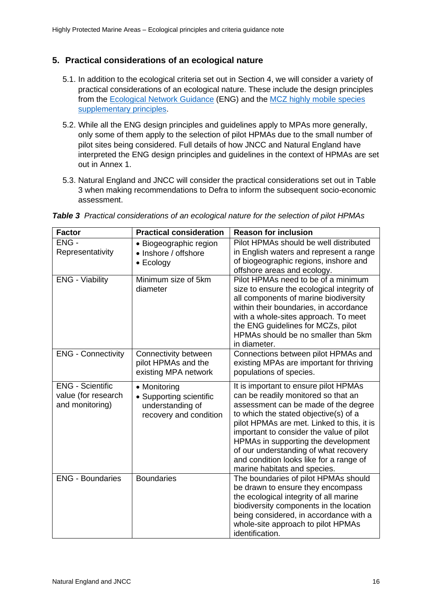#### **5. Practical considerations of an ecological nature**

- 5.1. In addition to the ecological criteria set out in Section 4, we will consider a variety of practical considerations of an ecological nature. These include the design principles from the [Ecological Network Guidance](https://data.jncc.gov.uk/data/94f961af-0bfc-4787-92d7-0c3bcf0fd083/MCZ-Ecological-Network-Guidance-2010.pdf) (ENG) and the [MCZ highly mobile species](https://data.jncc.gov.uk/data/3e7e6267-8219-4555-b83f-58d5eb1e2fdc/MCZs-highly-mobile-marine-species-2016-JNCC-NE-Web.pdf)  [supplementary principles.](https://data.jncc.gov.uk/data/3e7e6267-8219-4555-b83f-58d5eb1e2fdc/MCZs-highly-mobile-marine-species-2016-JNCC-NE-Web.pdf)
- 5.2. While all the ENG design principles and guidelines apply to MPAs more generally, only some of them apply to the selection of pilot HPMAs due to the small number of pilot sites being considered. Full details of how JNCC and Natural England have interpreted the ENG design principles and guidelines in the context of HPMAs are set out in Annex 1.
- 5.3. Natural England and JNCC will consider the practical considerations set out in Table 3 when making recommendations to Defra to inform the subsequent socio-economic assessment.

| <b>Factor</b>                                                     | <b>Practical consideration</b>                                                        | <b>Reason for inclusion</b>                                                                                                                                                                                                                                                                                                                                                                                        |
|-------------------------------------------------------------------|---------------------------------------------------------------------------------------|--------------------------------------------------------------------------------------------------------------------------------------------------------------------------------------------------------------------------------------------------------------------------------------------------------------------------------------------------------------------------------------------------------------------|
| ENG-<br>Representativity                                          | • Biogeographic region<br>• Inshore / offshore<br>$\bullet$ Ecology                   | Pilot HPMAs should be well distributed<br>in English waters and represent a range<br>of biogeographic regions, inshore and<br>offshore areas and ecology.                                                                                                                                                                                                                                                          |
| <b>ENG - Viability</b>                                            | Minimum size of 5km<br>diameter                                                       | Pilot HPMAs need to be of a minimum<br>size to ensure the ecological integrity of<br>all components of marine biodiversity<br>within their boundaries, in accordance<br>with a whole-sites approach. To meet<br>the ENG guidelines for MCZs, pilot<br>HPMAs should be no smaller than 5km<br>in diameter.                                                                                                          |
| <b>ENG - Connectivity</b>                                         | Connectivity between<br>pilot HPMAs and the<br>existing MPA network                   | Connections between pilot HPMAs and<br>existing MPAs are important for thriving<br>populations of species.                                                                                                                                                                                                                                                                                                         |
| <b>ENG - Scientific</b><br>value (for research<br>and monitoring) | • Monitoring<br>• Supporting scientific<br>understanding of<br>recovery and condition | It is important to ensure pilot HPMAs<br>can be readily monitored so that an<br>assessment can be made of the degree<br>to which the stated objective(s) of a<br>pilot HPMAs are met. Linked to this, it is<br>important to consider the value of pilot<br>HPMAs in supporting the development<br>of our understanding of what recovery<br>and condition looks like for a range of<br>marine habitats and species. |
| <b>ENG - Boundaries</b>                                           | <b>Boundaries</b>                                                                     | The boundaries of pilot HPMAs should<br>be drawn to ensure they encompass<br>the ecological integrity of all marine<br>biodiversity components in the location<br>being considered, in accordance with a<br>whole-site approach to pilot HPMAs<br>identification.                                                                                                                                                  |

*Table 3 Practical considerations of an ecological nature for the selection of pilot HPMAs*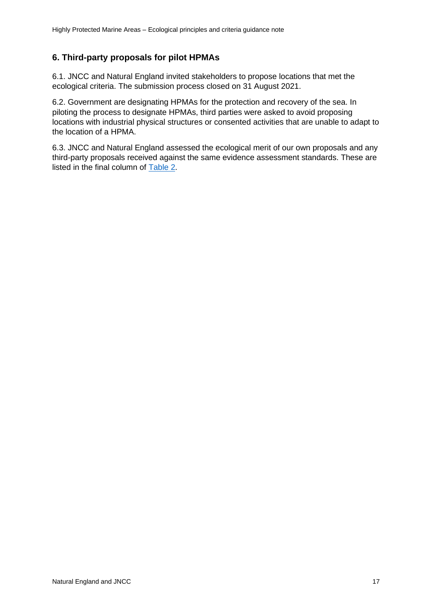# **6. Third-party proposals for pilot HPMAs**

6.1. JNCC and Natural England invited stakeholders to propose locations that met the ecological criteria. The submission process closed on 31 August 2021.

6.2. Government are designating HPMAs for the protection and recovery of the sea. In piloting the process to designate HPMAs, third parties were asked to avoid proposing locations with industrial physical structures or consented activities that are unable to adapt to the location of a HPMA.

6.3. JNCC and Natural England assessed the ecological merit of our own proposals and any third-party proposals received against the same evidence assessment standards. These are listed in the final column of [Table 2.](#page-7-0)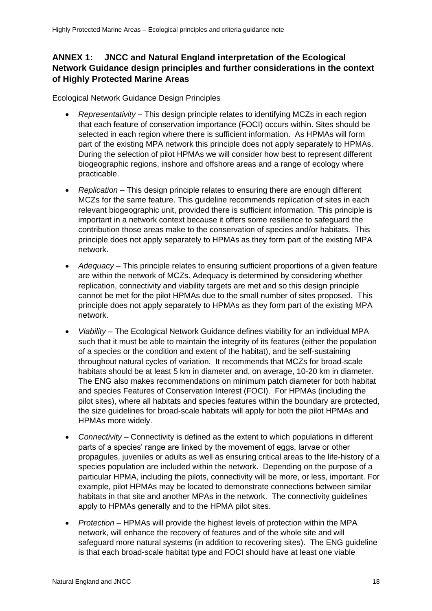# **ANNEX 1: JNCC and Natural England interpretation of the Ecological Network Guidance design principles and further considerations in the context of Highly Protected Marine Areas**

#### Ecological Network Guidance Design Principles

- *Representativity* This design principle relates to identifying MCZs in each region that each feature of conservation importance (FOCI) occurs within. Sites should be selected in each region where there is sufficient information. As HPMAs will form part of the existing MPA network this principle does not apply separately to HPMAs. During the selection of pilot HPMAs we will consider how best to represent different biogeographic regions, inshore and offshore areas and a range of ecology where practicable.
- *Replication* This design principle relates to ensuring there are enough different MCZs for the same feature. This guideline recommends replication of sites in each relevant biogeographic unit, provided there is sufficient information. This principle is important in a network context because it offers some resilience to safeguard the contribution those areas make to the conservation of species and/or habitats. This principle does not apply separately to HPMAs as they form part of the existing MPA network.
- *Adequacy* This principle relates to ensuring sufficient proportions of a given feature are within the network of MCZs. Adequacy is determined by considering whether replication, connectivity and viability targets are met and so this design principle cannot be met for the pilot HPMAs due to the small number of sites proposed. This principle does not apply separately to HPMAs as they form part of the existing MPA network.
- *Viability* The Ecological Network Guidance defines viability for an individual MPA such that it must be able to maintain the integrity of its features (either the population of a species or the condition and extent of the habitat), and be self-sustaining throughout natural cycles of variation. It recommends that MCZs for broad-scale habitats should be at least 5 km in diameter and, on average, 10-20 km in diameter. The ENG also makes recommendations on minimum patch diameter for both habitat and species Features of Conservation Interest (FOCI). For HPMAs (including the pilot sites), where all habitats and species features within the boundary are protected, the size guidelines for broad-scale habitats will apply for both the pilot HPMAs and HPMAs more widely.
- *Connectivity* Connectivity is defined as the extent to which populations in different parts of a species' range are linked by the movement of eggs, larvae or other propagules, juveniles or adults as well as ensuring critical areas to the life-history of a species population are included within the network. Depending on the purpose of a particular HPMA, including the pilots, connectivity will be more, or less, important. For example, pilot HPMAs may be located to demonstrate connections between similar habitats in that site and another MPAs in the network. The connectivity guidelines apply to HPMAs generally and to the HPMA pilot sites.
- *Protection* HPMAs will provide the highest levels of protection within the MPA network, will enhance the recovery of features and of the whole site and will safeguard more natural systems (in addition to recovering sites). The ENG guideline is that each broad-scale habitat type and FOCI should have at least one viable